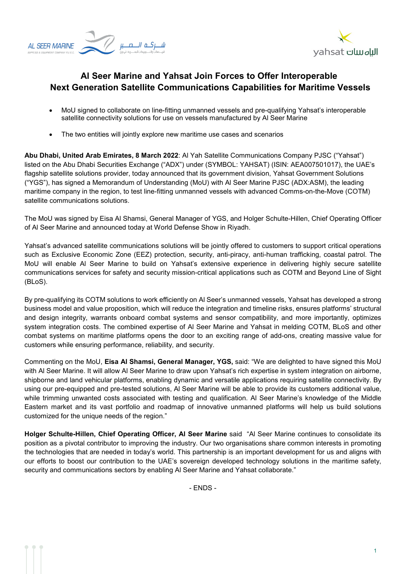



## **Al Seer Marine and Yahsat Join Forces to Offer Interoperable Next Generation Satellite Communications Capabilities for Maritime Vessels**

- MoU signed to collaborate on line-fitting unmanned vessels and pre-qualifying Yahsat's interoperable satellite connectivity solutions for use on vessels manufactured by Al Seer Marine
- The two entities will jointly explore new maritime use cases and scenarios

**Abu Dhabi, United Arab Emirates, 8 March 2022**: Al Yah Satellite Communications Company PJSC ("Yahsat") listed on the Abu Dhabi Securities Exchange ("ADX") under (SYMBOL: YAHSAT) (ISIN: AEA007501017), the UAE's flagship satellite solutions provider, today announced that its government division, Yahsat Government Solutions ("YGS"), has signed a Memorandum of Understanding (MoU) with Al Seer Marine PJSC (ADX:ASM), the leading maritime company in the region, to test line-fitting unmanned vessels with advanced Comms-on-the-Move (COTM) satellite communications solutions.

The MoU was signed by Eisa Al Shamsi, General Manager of YGS, and Holger Schulte-Hillen, Chief Operating Officer of Al Seer Marine and announced today at World Defense Show in Riyadh.

Yahsat's advanced satellite communications solutions will be jointly offered to customers to support critical operations such as Exclusive Economic Zone (EEZ) protection, security, anti-piracy, anti-human trafficking, coastal patrol. The MoU will enable Al Seer Marine to build on Yahsat's extensive experience in delivering highly secure satellite communications services for safety and security mission-critical applications such as COTM and Beyond Line of Sight (BLoS).

By pre-qualifying its COTM solutions to work efficiently on Al Seer's unmanned vessels, Yahsat has developed a strong business model and value proposition, which will reduce the integration and timeline risks, ensures platforms' structural and design integrity, warrants onboard combat systems and sensor compatibility, and more importantly, optimizes system integration costs. The combined expertise of Al Seer Marine and Yahsat in melding COTM, BLoS and other combat systems on maritime platforms opens the door to an exciting range of add-ons, creating massive value for customers while ensuring performance, reliability, and security.

Commenting on the MoU, **Eisa Al Shamsi, General Manager, YGS,** said: "We are delighted to have signed this MoU with Al Seer Marine. It will allow Al Seer Marine to draw upon Yahsat's rich expertise in system integration on airborne, shipborne and land vehicular platforms, enabling dynamic and versatile applications requiring satellite connectivity. By using our pre-equipped and pre-tested solutions, Al Seer Marine will be able to provide its customers additional value, while trimming unwanted costs associated with testing and qualification. Al Seer Marine's knowledge of the Middle Eastern market and its vast portfolio and roadmap of innovative unmanned platforms will help us build solutions customized for the unique needs of the region."

**Holger Schulte-Hillen, Chief Operating Officer, Al Seer Marine** said "Al Seer Marine continues to consolidate its position as a pivotal contributor to improving the industry. Our two organisations share common interests in promoting the technologies that are needed in today's world. This partnership is an important development for us and aligns with our efforts to boost our contribution to the UAE's sovereign developed technology solutions in the maritime safety, security and communications sectors by enabling Al Seer Marine and Yahsat collaborate."

- ENDS -